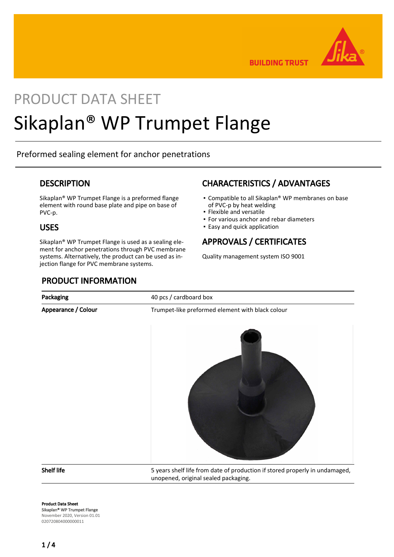

**BUILDING TRUST** 

# PRODUCT DATA SHEET Sikaplan® WP Trumpet Flange

Preformed sealing element for anchor penetrations

#### **DESCRIPTION**

Sikaplan® WP Trumpet Flange is a preformed flange element with round base plate and pipe on base of PVC-p.

#### USES

Sikaplan® WP Trumpet Flange is used as a sealing element for anchor penetrations through PVC membrane systems. Alternatively, the product can be used as injection flange for PVC membrane systems.

#### PRODUCT INFORMATION

# CHARACTERISTICS / ADVANTAGES

- Compatible to all Sikaplan® WP membranes on base of PVC-p by heat welding
- Flexible and versatile
- For various anchor and rebar diameters
- Easy and quick application

# APPROVALS / CERTIFICATES

Quality management system ISO 9001

Product Data Sheet Sikaplan® WP Trumpet Flange November 2020, Version 01.01 020720804000000011

Shelf life 5 years shelf life from date of production if stored properly in undamaged, unopened, original sealed packaging.

Appearance / Colour Trumpet-like preformed element with black colour

Packaging **Packaging 20 Packaging 2018** 40 pcs / cardboard box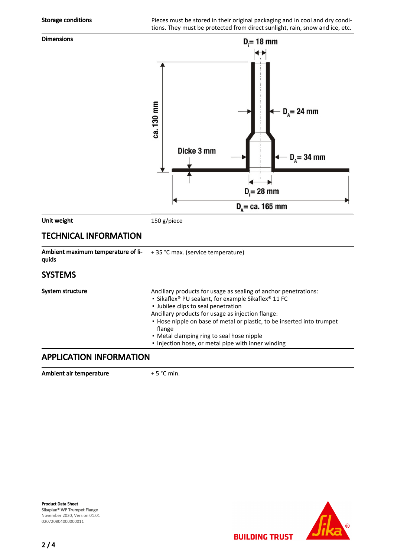#### Dimensions



#### Unit weight 150 g/piece

#### TECHNICAL INFORMATION

| Ambient maximum temperature of li- | + 35 °C max. (service temperature) |
|------------------------------------|------------------------------------|
| quids                              |                                    |

#### **SYSTEMS**

| System structure | Ancillary products for usage as sealing of anchor penetrations:<br>• Sikaflex® PU sealant, for example Sikaflex® 11 FC |
|------------------|------------------------------------------------------------------------------------------------------------------------|
|                  | • Jubilee clips to seal penetration                                                                                    |
|                  | Ancillary products for usage as injection flange:                                                                      |
|                  | . Hose nipple on base of metal or plastic, to be inserted into trumpet<br>flange                                       |
|                  | • Metal clamping ring to seal hose nipple                                                                              |
|                  | . Injection hose, or metal pipe with inner winding                                                                     |

Ambient air temperature  $+5$  °C min.





**BUILDING TRUST**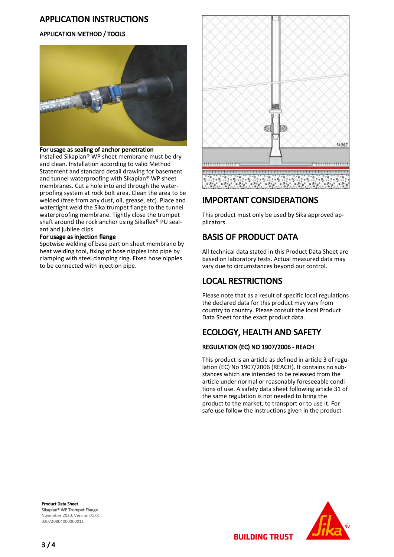# APPLICATION INSTRUCTIONS

#### APPLICATION METHOD / TOOLS



#### For usage as sealing of anchor penetration

Installed Sikaplan® WP sheet membrane must be dry and clean. Installation according to valid Method Statement and standard detail drawing for basement and tunnel waterproofing with Sikaplan® WP sheet membranes. Cut a hole into and through the waterproofing system at rock bolt area. Clean the area to be welded (free from any dust, oil, grease, etc). Place and watertight weld the Sika trumpet flange to the tunnel waterproofing membrane. Tightly close the trumpet shaft around the rock anchor using Sikaflex® PU sealant and jubilee clips.

#### For usage as injection flange

Spotwise welding of base part on sheet membrane by heat welding tool, fixing of hose nipples into pipe by clamping with steel clamping ring. Fixed hose nipples to be connected with injection pipe.



# IMPORTANT CONSIDERATIONS

This product must only be used by Sika approved applicators.

# BASIS OF PRODUCT DATA

All technical data stated in this Product Data Sheet are based on laboratory tests. Actual measured data may vary due to circumstances beyond our control.

# LOCAL RESTRICTIONS

Please note that as a result of specific local regulations the declared data for this product may vary from country to country. Please consult the local Product Data Sheet for the exact product data.

# ECOLOGY, HEALTH AND SAFETY

**BUILDING TRUST** 

#### REGULATION (EC) NO 1907/2006 - REACH

This product is an article as defined in article 3 of regulation (EC) No 1907/2006 (REACH). It contains no substances which are intended to be released from the article under normal or reasonably foreseeable conditions of use. A safety data sheet following article 31 of the same regulation is not needed to bring the product to the market, to transport or to use it. For safe use follow the instructions given in the product

Product Data Sheet Sikaplan® WP Trumpet Flange November 2020, Version 01.01 020720804000000011